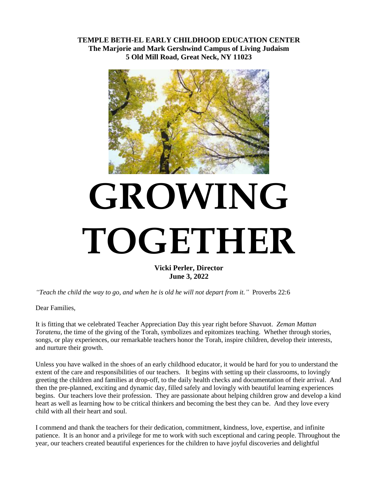**TEMPLE BETH-EL EARLY CHILDHOOD EDUCATION CENTER The Marjorie and Mark Gershwind Campus of Living Judaism 5 Old Mill Road, Great Neck, NY 11023**



## **GROWING TOGETHER**

**Vicki Perler, Director June 3, 2022**

*"Teach the child the way to go, and when he is old he will not depart from it."* Proverbs 22:6

Dear Families,

It is fitting that we celebrated Teacher Appreciation Day this year right before Shavuot. *Zeman Mattan Toratenu,* the time of the giving of the Torah, symbolizes and epitomizes teaching. Whether through stories, songs, or play experiences, our remarkable teachers honor the Torah, inspire children, develop their interests, and nurture their growth.

Unless you have walked in the shoes of an early childhood educator, it would be hard for you to understand the extent of the care and responsibilities of our teachers. It begins with setting up their classrooms, to lovingly greeting the children and families at drop-off, to the daily health checks and documentation of their arrival. And then the pre-planned, exciting and dynamic day, filled safely and lovingly with beautiful learning experiences begins. Our teachers love their profession. They are passionate about helping children grow and develop a kind heart as well as learning how to be critical thinkers and becoming the best they can be. And they love every child with all their heart and soul.

I commend and thank the teachers for their dedication, commitment, kindness, love, expertise, and infinite patience. It is an honor and a privilege for me to work with such exceptional and caring people. Throughout the year, our teachers created beautiful experiences for the children to have joyful discoveries and delightful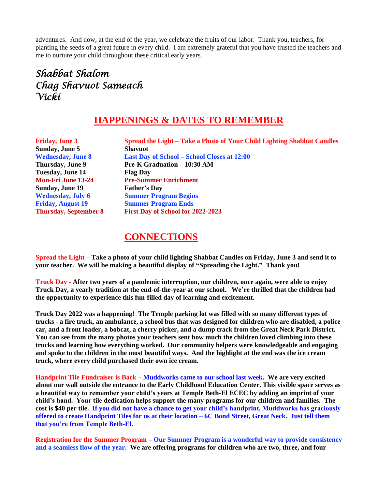adventures. And now, at the end of the year, we celebrate the fruits of our labor. Thank you, teachers, for planting the seeds of a great future in every child. I am extremely grateful that you have trusted the teachers and me to nurture your child throughout these critical early years.

## *Shabbat Shalom Chag Shavuot Sameach Vicki*

## **HAPPENINGS & DATES TO REMEMBER**

| <b>Friday, June 3</b>        | <b>Spread the Light – Take a Photo of Your Child Lighting Shabbat Candles</b> |
|------------------------------|-------------------------------------------------------------------------------|
| Sunday, June 5               | <b>Shavuot</b>                                                                |
| <b>Wednesday, June 8</b>     | <b>Last Day of School – School Closes at 12:00</b>                            |
| Thursday, June 9             | <b>Pre-K Graduation – 10:30 AM</b>                                            |
| <b>Tuesday, June 14</b>      | <b>Flag Day</b>                                                               |
| <b>Mon-Fri June 13-24</b>    | <b>Pre-Summer Enrichment</b>                                                  |
| <b>Sunday, June 19</b>       | <b>Father's Day</b>                                                           |
| <b>Wednesday, July 6</b>     | <b>Summer Program Begins</b>                                                  |
| <b>Friday, August 19</b>     | <b>Summer Program Ends</b>                                                    |
| <b>Thursday, September 8</b> | First Day of School for 2022-2023                                             |

## **CONNECTIONS**

**Spread the Light – Take a photo of your child lighting Shabbat Candles on Friday, June 3 and send it to your teacher. We will be making a beautiful display of "Spreading the Light." Thank you!**

**Truck Day - After two years of a pandemic interruption, our children, once again, were able to enjoy Truck Day, a yearly tradition at the end-of-the-year at our school. We're thrilled that the children had the opportunity to experience this fun-filled day of learning and excitement.**

**Truck Day 2022 was a happening! The Temple parking lot was filled with so many different types of trucks - a fire truck, an ambulance, a school bus that was designed for children who are disabled, a police car, and a front loader, a bobcat, a cherry picker, and a dump track from the Great Neck Park District. You can see from the many photos your teachers sent how much the children loved climbing into these trucks and learning how everything worked. Our community helpers were knowledgeable and engaging and spoke to the children in the most beautiful ways. And the highlight at the end was the ice cream truck, where every child purchased their own ice cream.** 

**Handprint Tile Fundraiser is Back – Muddworks came to our school last week. We are very excited about our wall outside the entrance to the Early Childhood Education Center. This visible space serves as a beautiful way to remember your child's years at Temple Beth-El ECEC by adding an imprint of your child's hand. Your tile dedication helps support the many programs for our children and families. The cost is \$40 per tile. If you did not have a chance to get your child's handprint, Muddworks has graciously offered to create Handprint Tiles for us at their location – 6C Bond Street, Great Neck. Just tell them that you're from Temple Beth-El.**

**Registration for the Summer Program – Our Summer Program is a wonderful way to provide consistency and a seamless flow of the year. We are offering programs for children who are two, three, and four**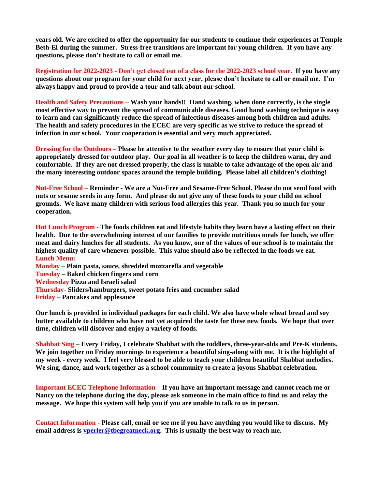**years old. We are excited to offer the opportunity for our students to continue their experiences at Temple Beth-El during the summer. Stress-free transitions are important for young children. If you have any questions, please don't hesitate to call or email me.**

**Registration for 2022-2023 - Don't get closed out of a class for the 2022-2023 school year. If you have any questions about our program for your child for next year, please don't hesitate to call or email me. I'm always happy and proud to provide a tour and talk about our school.** 

**Health and Safety Precautions – Wash your hands!! Hand washing, when done correctly, is the single most effective way to prevent the spread of communicable diseases. Good hand washing technique is easy to learn and can significantly reduce the spread of infectious diseases among both children and adults. The health and safety procedures in the ECEC are very specific as we strive to reduce the spread of infection in our school. Your cooperation is essential and very much appreciated.**

**Dressing for the Outdoors – Please be attentive to the weather every day to ensure that your child is appropriately dressed for outdoor play. Our goal in all weather is to keep the children warm, dry and comfortable. If they are not dressed properly, the class is unable to take advantage of the open air and the many interesting outdoor spaces around the temple building. Please label all children's clothing!**

**Nut-Free School – Reminder - We are a Nut-Free and Sesame-Free School. Please do not send food with nuts or sesame seeds in any form. And please do not give any of these foods to your child on school grounds. We have many children with serious food allergies this year. Thank you so much for your cooperation.**

**Hot Lunch Program - The foods children eat and lifestyle habits they learn have a lasting effect on their health. Due to the overwhelming interest of our families to provide nutritious meals for lunch, we offer meat and dairy lunches for all students. As you know, one of the values of our school is to maintain the highest quality of care whenever possible. This value should also be reflected in the foods we eat. Lunch Menu:**

**Monday – Plain pasta, sauce, shredded mozzarella and vegetable**

**Tuesday – Baked chicken fingers and corn**

**Wednesday Pizza and Israeli salad**

**Thursday- Sliders/hamburgers, sweet potato fries and cucumber salad**

**Friday – Pancakes and applesauce**

**Our lunch is provided in individual packages for each child. We also have whole wheat bread and soy butter available to children who have not yet acquired the taste for these new foods. We hope that over time, children will discover and enjoy a variety of foods.**

**Shabbat Sing – Every Friday, I celebrate Shabbat with the toddlers, three-year-olds and Pre-K students. We join together on Friday mornings to experience a beautiful sing-along with me. It is the highlight of my week - every week. I feel very blessed to be able to teach your children beautiful Shabbat melodies. We sing, dance, and work together as a school community to create a joyous Shabbat celebration.** 

**Important ECEC Telephone Information – If you have an important message and cannot reach me or Nancy on the telephone during the day, please ask someone in the main office to find us and relay the message. We hope this system will help you if you are unable to talk to us in person.**

**Contact Information - Please call, email or see me if you have anything you would like to discuss. My email address is [vperler@tbegreatneck.org.](mailto:vperler@tbegreatneck.org) This is usually the best way to reach me.**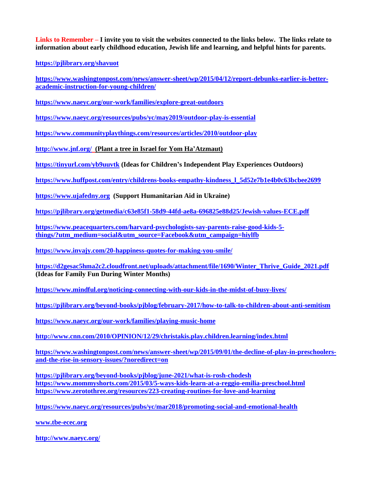**Links to Remember – I invite you to visit the websites connected to the links below. The links relate to information about early childhood education, Jewish life and learning, and helpful hints for parents.**

**<https://pjlibrary.org/shavuot>**

**[https://www.washingtonpost.com/news/answer-sheet/wp/2015/04/12/report-debunks-earlier-is-better](https://www.washingtonpost.com/news/answer-sheet/wp/2015/04/12/report-debunks-earlier-is-better-academic-instruction-for-young-children/)[academic-instruction-for-young-children/](https://www.washingtonpost.com/news/answer-sheet/wp/2015/04/12/report-debunks-earlier-is-better-academic-instruction-for-young-children/)**

**<https://www.naeyc.org/our-work/families/explore-great-outdoors>**

**<https://www.naeyc.org/resources/pubs/yc/may2019/outdoor-play-is-essential>**

**<https://www.communityplaythings.com/resources/articles/2010/outdoor-play>**

**<http://www.jnf.org/>(Plant a tree in Israel for Yom Ha'Atzmaut)**

**<https://tinyurl.com/yb9uuvtk> (Ideas for Children's Independent Play Experiences Outdoors)**

**[https://www.huffpost.com/entry/childrens-books-empathy-kindness\\_l\\_5d52e7b1e4b0c63bcbee2699](https://www.huffpost.com/entry/childrens-books-empathy-kindness_l_5d52e7b1e4b0c63bcbee2699)**

**[https://www.ujafedny.org](https://www.ujafedny.org/) (Support Humanitarian Aid in Ukraine)**

**<https://pjlibrary.org/getmedia/c63e85f1-58d9-44fd-ae8a-696825e88d25/Jewish-values-ECE.pdf>**

**[https://www.peacequarters.com/harvard-psychologists-say-parents-raise-good-kids-5](https://www.peacequarters.com/harvard-psychologists-say-parents-raise-good-kids-5-things/?utm_medium=social&utm_source=Facebook&utm_campaign=hiylfb) [things/?utm\\_medium=social&utm\\_source=Facebook&utm\\_campaign=hiylfb](https://www.peacequarters.com/harvard-psychologists-say-parents-raise-good-kids-5-things/?utm_medium=social&utm_source=Facebook&utm_campaign=hiylfb)**

**<https://www.invajy.com/20-happiness-quotes-for-making-you-smile/>**

**[https://d2gesac5hma2c2.cloudfront.net/uploads/attachment/file/1690/Winter\\_Thrive\\_Guide\\_2021.pdf](https://d2gesac5hma2c2.cloudfront.net/uploads/attachment/file/1690/Winter_Thrive_Guide_2021.pdf) (Ideas for Family Fun During Winter Months)**

**<https://www.mindful.org/noticing-connecting-with-our-kids-in-the-midst-of-busy-lives/>**

**<https://pjlibrary.org/beyond-books/pjblog/february-2017/how-to-talk-to-children-about-anti-semitism>**

**<https://www.naeyc.org/our-work/families/playing-music-home>**

**<http://www.cnn.com/2010/OPINION/12/29/christakis.play.children.learning/index.html>**

**[https://www.washingtonpost.com/news/answer-sheet/wp/2015/09/01/the-decline-of-play-in-preschoolers](https://www.washingtonpost.com/news/answer-sheet/wp/2015/09/01/the-decline-of-play-in-preschoolers-and-the-rise-in-sensory-issues/?noredirect=on)[and-the-rise-in-sensory-issues/?noredirect=on](https://www.washingtonpost.com/news/answer-sheet/wp/2015/09/01/the-decline-of-play-in-preschoolers-and-the-rise-in-sensory-issues/?noredirect=on)**

**<https://pjlibrary.org/beyond-books/pjblog/june-2021/what-is-rosh-chodesh> <https://www.mommyshorts.com/2015/03/5-ways-kids-learn-at-a-reggio-emilia-preschool.html> <https://www.zerotothree.org/resources/223-creating-routines-for-love-and-learning>**

**<https://www.naeyc.org/resources/pubs/yc/mar2018/promoting-social-and-emotional-health>**

**[www.tbe-ecec.org](http://www.tbe-ecec.org/)**

**<http://www.naeyc.org/>**